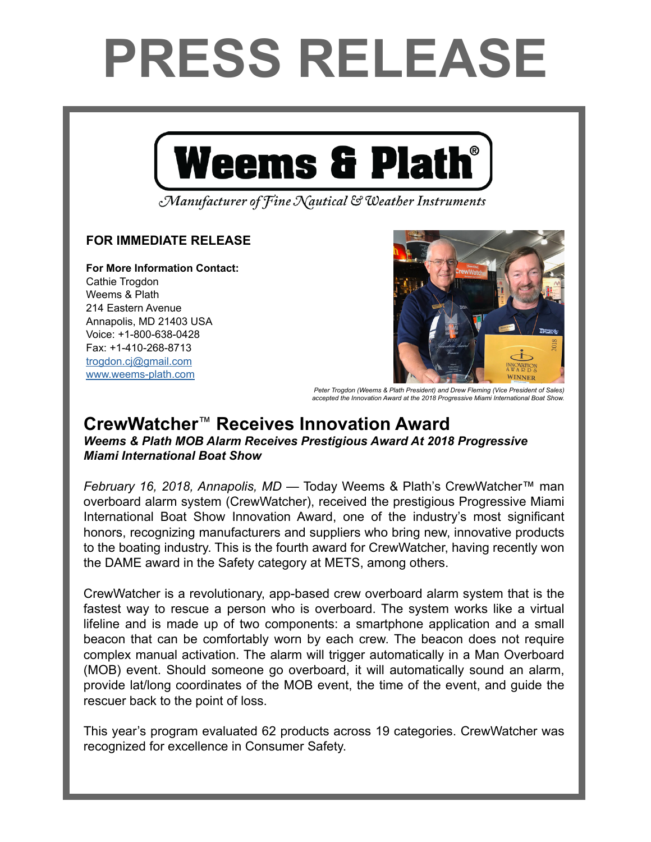## **PRESS RELEASE**



Manufacturer of Fine Nautical & Weather Instruments

## **FOR IMMEDIATE RELEASE**

**For More Information Contact:**  Cathie Trogdon Weems & Plath 214 Eastern Avenue Annapolis, MD 21403 USA Voice: +1-800-638-0428 Fax: +1-410-268-8713 [trogdon.cj@gmail.com](mailto:trogdon.cj%40gmail.com?subject=Regarding%20Press%20Release%20-%20On%20The%20Wind%20Sponsor) [www.weems-plath.com](http://www.weems-plath.com)



*Peter Trogdon (Weems & Plath President) and Drew Fleming (Vice President of Sales) accepted the Innovation Award at the 2018 Progressive Miami International Boat Show.*

## **CrewWatcher**™ **Receives Innovation Award** *Weems & Plath MOB Alarm Receives Prestigious Award At 2018 Progressive Miami International Boat Show*

*February 16, 2018, Annapolis, MD* — Today Weems & Plath's CrewWatcher™ man overboard alarm system (CrewWatcher), received the prestigious Progressive Miami International Boat Show Innovation Award, one of the industry's most significant honors, recognizing manufacturers and suppliers who bring new, innovative products to the boating industry. This is the fourth award for CrewWatcher, having recently won the DAME award in the Safety category at METS, among others.

CrewWatcher is a revolutionary, app-based crew overboard alarm system that is the fastest way to rescue a person who is overboard. The system works like a virtual lifeline and is made up of two components: a smartphone application and a small beacon that can be comfortably worn by each crew. The beacon does not require complex manual activation. The alarm will trigger automatically in a Man Overboard (MOB) event. Should someone go overboard, it will automatically sound an alarm, provide lat/long coordinates of the MOB event, the time of the event, and guide the rescuer back to the point of loss.

This year's program evaluated 62 products across 19 categories. CrewWatcher was recognized for excellence in Consumer Safety.